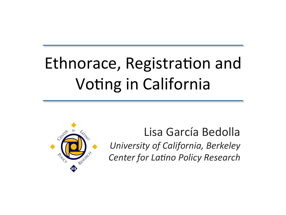# Ethnorace, Registration and Voting in California



Lisa García Bedolla *University of California, Berkeley Center for Latino Policy Research*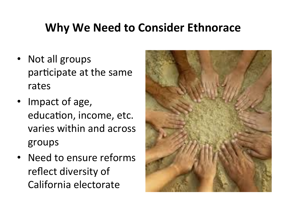## **Why We Need to Consider Ethnorace**

- Not all groups participate at the same rates
- Impact of age, education, income, etc. varies within and across groups
- Need to ensure reforms reflect diversity of California electorate

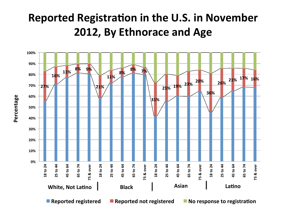#### **Reported Registration in the U.S. in November 2012, By Ethnorace and Age**



**Percentage**  Percentage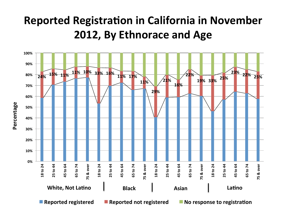#### **Reported Registration in California in November 2012, By Ethnorace and Age**

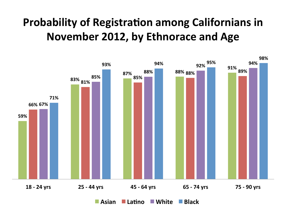### **Probability of Registration among Californians in November 2012, by Ethnorace and Age**

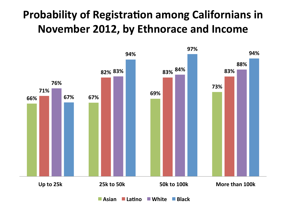#### **Probability of Registration among Californians in November 2012, by Ethnorace and Income**



**Asian Latino White Black**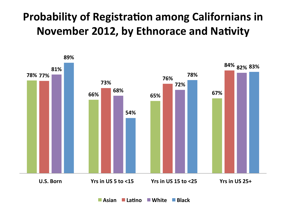## **Probability of Registration among Californians in November 2012, by Ethnorace and Nativity**



■ Asian ■ Latino ■ White ■ Black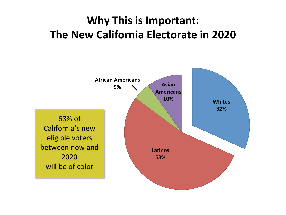## **Why This is Important: The New California Electorate in 2020**

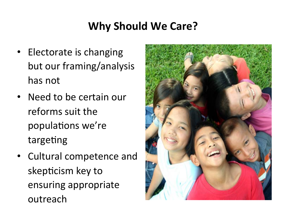#### **Why Should We Care?**

- Electorate is changing but our framing/analysis has not
- Need to be certain our reforms suit the populations we're targeting
- Cultural competence and skepticism key to ensuring appropriate outreach

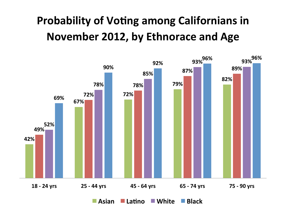# **Probability of Voting among Californians in November 2012, by Ethnorace and Age**



**Asian La5no White Black**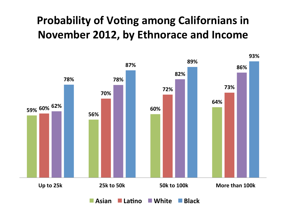## **Probability of Voting among Californians in November 2012, by Ethnorace and Income**